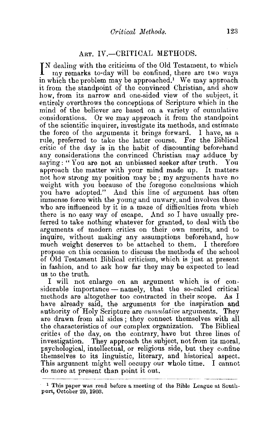## ART. IV.-CRITICAL METHODS.

IN dealing with the criticism of the Old Testament, to which<br>In my remarks to-day will be confined, there are two ways my remarks to-day will be confined, there are two ways in which the problem may be approached.<sup>1</sup> We may approach it from the standpoint of the convinced Christian, and show how, from its narrow and one-sided view of the subject, it entirely overthrows the conceptions of Scripture which in the mind of the believer are based on a variety of cumulative considerations. Or we may approach it from the standpoint of the scientific inquirer, investigate its methods, and estimate the force of the arguments it brings forward. I have, as a rule, preferred to take the latter course. For the Biblical critic of the day is in the habit of discounting beforehand any considerations the convinced Christian may adduce by saying: "You are not an unbiassed seeker after truth. You approach the matter with your mind made up, It matters not how strong my position may be; my arguments have no weight with you because of the foregone conclusions which you have adopted." And this line of argument has often immense force with the young and unwary, and involves those who are influenced by it in a maze of difficulties from which there is no easy way of escape. And so I have usually preferred to take nothing whatever for granted, to deal with the arguments of modern critics on their own merits, and to inquire, without making any assumptions beforehand, how much weight deserves to be attached to them. I therefore propose on this occasion to discuss the methods of the school of Old Testament Biblical criticism, which is just at present in fashion, and to ask how far they may be expected to lead us to the truth.

I will not enlarge on an argument which is of considerable importance - namely, that the so-called critical methods are altogether too contracted in their scope. As I have already said, the arguments for the inspiration and authority of Holy Scripture are *cumulative* arguments. They are drawn from all sides; they connect themselves with all the characteristics of our complex organization. The Biblical critics of the day, on the contrary, have but three lines of investigation. They approach the subject, not from its moral, psychological, intellectual, or religions side, but they confine themselves to its linguistic, literary, and historical aspect. This argument might well occupy our whole time. I cannot do more at present than point it out.

<sup>1</sup> This paper was read before a meeting of the Bible League at Southport, October 29, 1903.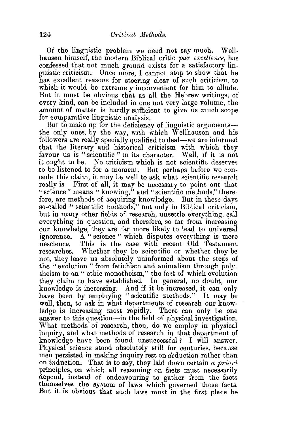Of the linguistic problem we need not say much. Wellhansen himself, the modern Biblical critic *par excellence,* has confessed that not much ground exists for a satisfactory linguistic criticism. Once more, I cannot stop to show that he has excellent reasons for steering clear of such criticism, to which it would be extremely inconvenient for him to allude. But it must be obvious that as all the Hebrew writings, of every kind, can be included in one not very large volume, the amount of matter is hardly sufficient to give us much scope for comparative linguistic analysis.

But to make up for the deficiency of linguistic argumentsthe only ones, by the way, with which Wellhausen and his followers are really specially qualified to deal—we are informed that the literary and historical criticism with which they favour us is "scientific" in its character. Well, if it is not it ought to be. No criticism which is not scientific deserves to be listened to for a moment. But perhaps before we concede this claim, it may be well to ask what scientific research really is First of all, it may be necessary to point out that " science" means "knowing," and "scientific methods," therefore, are methods of acquiring knowledge. But in these days so-called "scientific methods," not only in Biblical criticism. but in many other fields of research, unsettle everything, call everything in question, and therefore, so far from increasing our knowledge, they are far more likely to lead to universal ignorance. A "science" which disputes everything is mere nescience. This is the case with recent Old Testament researches. Whether they be scientific or whether they be not, they leave us absolutely uninformed about the steps of the "evolution" from fetichism and animalism through polytheism to an" ethic monotheism," the fact of which evolution they claim to have established. In general, no doubt, our knowledge is increasing. And if it be increased, it can only have been by employing "scientific methods." It may be well, then, to ask in what departments of research our knowledge is increasing most rapidly. There can only be one answer to this question-in the field of physical investigation. What methods of research, then, do we employ in physical inquiry, and what methods of research in that. department of knowledge have been found unsuccessful? I will answer. Physical science stood absolutely still for centuries, because men persisted in making inquiry rest on deduction rather than on induction. That is to say, they laid down certain *a priori*  principles, on which all reasoning on facts must necessarily depend, instead of endeavouring to gather from the facts themselves the system of laws which governed those facts. But it is obvious that such laws must in the first place be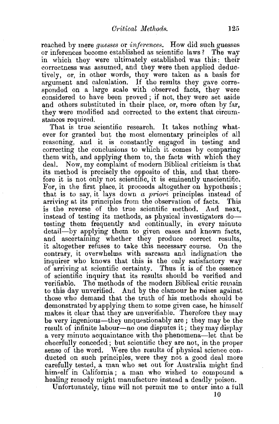reached by mere *guesses* or *inferences.* How did such guesses or inferences become established as scientific laws? The way in which they were ultimately established was this: their correctness was assumed, and they were then applied deductively, or, in other words, they were taken as a basis for argument and calculation. If the results they gave corresponded on a large scale with observed facts, they were considered to have been proved; if not, they were set aside and others substituted in their place, or, more often by far, they were modified and corrected to the extent that circumstances required.

That is true scientific research. It takes nothing whatever for granted but the most elementary principles of all reasoning, and it is constantly engaged in testing and correcting the conclusions to which it comes by comparing them with, and applying them to, the facts with which they deal. Now, my complaint of modern Biblical criticism is that its method is precisely the opposite of this, and that therefore it is not only not scientific, it is eminently unscientific. For, in the first place, it proceeds altogether on hypothesis ; that is to say, it lays down *a priori* principles instead of arriving at its principles from the observation of facts. This is the reverse of the true scientific method. And next, instead of testing its methods, as physical investigators dotesting them frequently and continually, in every minute detail-by applying them to given cases and known facts, and ascertaining whether they produce correct results, it altogether refuses to take this necessary course. On the contrary, it overwhelms with sarcasm and indignation the inquirer who knows that this is the only satisfactory way of arriving at scientific certainty. Thus it is of the essence of scientific inquiry that its results should be verified and verifiable. The methods of the modern Biblical critic remain to this day unverified. And by the clamour he raises against those who demand that the truth of his methods should be demonstrated by applying them to some given case, he himself makes it clear that they are unverifiable. Therefore they may be very ingenious-they unquestionably are ; they may be the result of infinite labour—no one disputes it; they may display a very minute acquaintance with the phenomena-let that be. cheerfully conceded; but scientific they are not, in the proper sense of the word. Were the results of physical science conducted on such principles, were they not a good deal more carefully tested, a man who set out for Australia might find him,elf in California; a man who wished to compound a healing remedy might manufacture instead a deadly poison.

Unfortunately, time will not permit me to enter into a full

10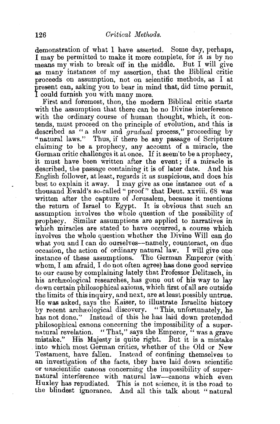demonstration of what 1 have asserted. Some day, perhaps, I may be permitted to make it more complete, for it is by no means my wish to break off in the middle. But I will give as many instances of my assertion, that the Biblical critic proceeds on assumption, not on scientific methods, as I at present can, asking you to bear in mind that, did time permit, I could furnish you with many more.

First and foremost, then, the modern Biblical critic starts with the assumption that there can be no Divine interference with the ordinary course of human thought, which, it contends, must proceed on the principle of evolution, and this is described as " a slow and *gradual* process," proceeding by "natural laws." Thus, if there be any passage of Scripture claiming to be a prophecy, any account of a miracle, the German critic challenges it at once. If it seem' to be a prophecy, it must have been written after the event; if a miracle is described, the passage containing it is of later date. And his English follower, at least, regards it as suspicious, and does his best to explain it away. I may give as one instance out of a thousand Ewald's so-called " proof" that Dent. xxviii. 68 was written after the capture of Jerusalem, because it mentions the return of Israel to Egypt. It is obvious that such an assumption involves the whole question of the possibility of prophecy. Similar assumptions are applied to narratives in which miracles are stated to have occurred, a course which involves the whole question whether the Divine Will can do what you and I can do ourselves--namely, counteract, on due occasion, the action of ordinary natural law. I will give one instance of these assumptions. The German Emperor (with whom, I am afraid, I do not often agree) has done good service to our cause by complaining lately that Professor Delitzsch, in his archaeological researches, has gone out of his way to lay down certain philosophical axioms, which first of all are outside the limits of this inquiry, and next, are at least possibly untrue. He was asked, says the Kaiser, to illustrate Israelite history by recent archaeological discovery. "This, unfortunately, he has not done." Instead of this he has laid down pretended philosophical canons concerning the impossibility of a supernatural revelation. "That," says the Emperor, "was a grave mistake." His Majesty is quite right. But it is a mistake into which most German critics, whether of the Old or New Testament, have fallen. Instead of confining themselves to an investigation of the facts, they have laid down scientific or unscientific canons concerning the impossibility of super· natural interference with natural law-canons which even Huxley has repudiated. This is not science, it is the road to the blindest Ignorance. And all this talk about "natural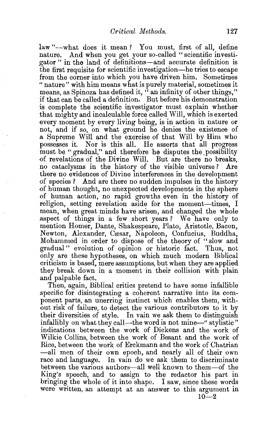law "-what does it mean? You must, first of all, define nature. And when you get your so-called "scientific investigator " in the land of definitions-and accurate definition is the first requisite for scientific investigation-he tries to escape from the corner into which you have driven him. Sometimes " nature" with him means what is purely material, sometimes it means, as Spinoza has defined it,  $\ddot{a}$  an infinity of other things," if that can be called a definition. But before his demonstration is complete the scientific investigator must explain whether that mighty and incalculable force called Will, which is exerted every moment by every living being, is in action in nature or not, and if so, on what ground he denies the existence of a Supreme Will and the exercise of that Will by Him who possesses it. Nor is this all. He asserts that all progress must be "gradual," and therefore he disputes the possibility of revelations of the Divine Will. But are there no breaks, no cataclysms in the history of the visible universe ? Are there no evidences of Divine interferences in the development of species ? And are there no sudden impulses in the history ()f human thought, no unexpected developments in the sphere of human action, no rapid growths even in the history of religion, setting revelation aside for the moment-times, I mean, when great minds have arisen, and changed the whole aspect of things in a few short years ? We have only to mention Homer, Dante, Shakespeare, Plato, Aristotle, Bacon, Newton, Alexander, Cæsar, Napoleon, Confucius, Buddha, Mohammed in order to dispose of the theory of " slow and gradual" evolution of opinion or historic fact. Thus, not only are these hypotheses, on which much modern Biblical criticism is based, mere assumptions, but when they are applied they break down in a moment in their collision with plain and palpable fact.

Then, again, Biblical critics pretend to have some infallible specific for disintegrating a coherent narrative into its component parts, an unerring instinct which enables them, with out risk of failure, to detect the various contributors to it by their diversities of style. In vain we ask them to distinguish infallibly on what they call—the word is not mine—" stylistic" indications between the work of Dickens and the work of Wilkie Collins, between the work of Besant and the work of Rice, between the work of Erckmann and the work of Chatrian -all men of their own epoch, and nearly all of their own race and language. In vain do we ask them to discriminate between the various authors-all well known to them-of the King's speech, and to assign to the redactor his part in bringing the whole of it into shape. I saw, since these words were written, an attempt at an answer to this argument in  $10-2$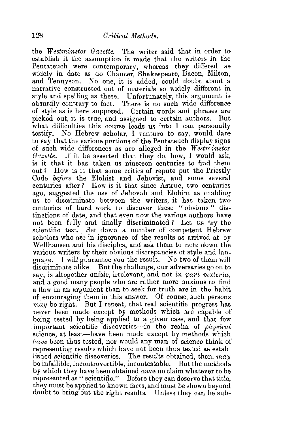the *Westminster Gazette*. The writer said that in order toestablish it the assumption is made that the writers in the Pentateuch were contemporary, whereas they differed as widely in date as do Chaucer, Shakespeare, Bacon, Milton, and Tennyson. No one, it is added, could donbt about a narrative constructed out of materials so widely different in style and spelling as these. Unfortunately, this argument is absurdly contrary to fact. There is no such wide difference of style as is here supposed. Certain words and phrases are picked out, it is true, and assigned to certain authors. But what difficulties this course leads us into I can personally testify. No Hebrew scholar, I venture to say, would dare to say that the various portions of the Pentateuch display signs of such wide differences as are alleged in the *Westminster Gazette.* If it be asserted that they do, how, I would ask, is it that it has taken us nineteen centuries to find them out? How is it that some critics of repute put the Priestly Code *before* the Elohist and Jehovist, and some several centuries after? How is it that since Astruc, two centuries ago, suggested the use of Jehovah and Elohim as enabling us to discriminate between the writers, it has taken two centuries of hard work to discover these " obvious " distinctions of date, and that even now the various authors have not been fully and finally discriminated ? Let us try the scientific test. Set down a number of competent Hebrew scholars who are in ignorance of the results as arrived at by Wellhausen and his disciples, and ask them to note down the various writers by their obvious discrepancies of style and language. I will guarantee you the result. No two of them will discriminate alike. But the challenge, our adversaries go on to sav, is altogether unfair, irrelevant, and not *in pari materia,*  and a good many people who are rather more anxious to find a flaw in an argument than to seek for truth are in the habit of encouraging them in this answer. Of course, such persons *may* be right. But I repeat, that real scientific progress has never been made except by methods which are capable of being tested by being applied to a given case, and that few important scientific discoveries-in the realm of *physiccd*  science, at least-have been made except by methods which *have* been thus tested, nor would any man of science think of representing results which have not been thus tested as established scientific discoveries. The results obtained, then,  $may$ be infallible, incontrovertible, incontestable. But the methods by which they have been obtained have no claim whatever to be represented as " scientific." Before they can deserve that title, they must be applied to known facts, and must be shown beyond doubt to bring out the right results. Unless they can be sub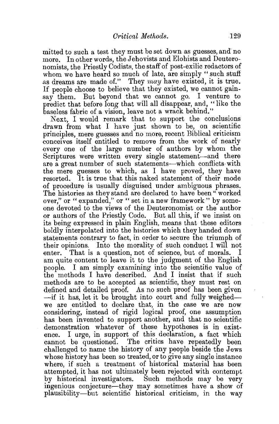mitted to such a test they must be set down as guesses, and no more. In other words, the Jehovists and Elohists and Deuteronomists, the Priestly Codists, the staff of post-exilic redactors of whom we have heard so much of late, are simply "such stuff as dreams are made of." They *may* have existed, it is true. If people choose to believe that they existed, we cannot gainsay them. But beyond that we cannot go. I venture to predict that before long that will all disappear, and, "like the baseless fabric of a vision, leave not a wrack behind."

Next, I would remark that to support the conclusions drawn from what I have just shown to be, on scientific principles, mere guesses and no more, recent Biblical criticism conceives itself entitled to remove from the work of nearly every one of the large number of authors by whom the Scriptures were written every single statement-and there are a great number of such statements—which conflicts with the mere guesses to which, as I have proved, they have resorted. It is true that this naked statement of their mode of procedure is usually disguised under ambiguous phrases. The histories as they stand are declared to have been" worked over," or " expanded," or " set in a new framework " by someone devoted to the views of the Deuteronomist or the author or authors of the Priestly Code. But all this, if we insist on its being expressed in plain English, means that these editors boldly interpolated into the histories which they handed down statements contrary to fact, in order to secure the triumph of their opinions. Into the morality of such conduct I will not enter. That is a question, not of science, but of morals. I am quite content to leave it to the judgment of the English people. I am simply examining into the scientific value of the methods I have described. And I insist that if such methods are to be accepted as scientific, they must rest on defined and detailed proof. As no such proof has been given -if it has, let it be brought into court and fully weighedwe are entitled to declare that, in the case we are now considering, instead of rigid logical proof, one assumption has been invented to support another, and that no scientific demonstration whatever of these hypotheses is in existence. I urge, in support of this declaration, a fact which cannot be questioned. The critics have repeatedly been challenged to name the history of any people beside the Jews whose history has been so treated, or to give any single instance where, if such a treatment of historical material has been attempted, it has not ultimately been rejected with contempt by historical investigators. Such methods may be very ingenious conjecture-they may sometimes have a show of plausibility-but scientific historical criticism, in the way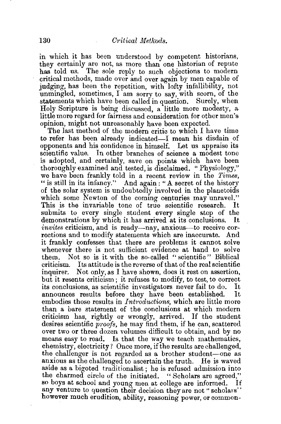in which it has been understood by competent historians, they certainly are not, as more than one historian of repute has told us. The sole reply to such objections to modern The sole reply to such objections to modern critical methods, made over and over again by men capable of judging, has been the repetition, with lofty infallibility, not unmingled, sometimes,  $\Gamma$  am sorry to say, with scorn, of the statements which have been called in question. Surely, when Holy Scripture is being discussed, a little more modesty, a little more regard for fairness and consideration for other men's opinion, might not unreasonably have been expected.

The last method of the modern critic to which I have time to refer has been already indicated-I mean his disdain of opponents and his confidence in himself. Let us appraise its scientific value. In other branches of science a modest tone is adopted, and certainly, save on points which have been thoroughly examined and tested, is disclaimed. "Physiology," we have been frankly told in a recent review in the *Times,*  " is still in its infancy." And again : "A secret of the history of the solar system is undoubtedly involved in the planetoids which some Newton of the coming centuries may unravel." This is the invariable tone of true scientific research. submits to every single student every single step of the demonstrations by which it bas arrived at its conclusions. It *invites* criticism, and is ready—nay, anxious—to receive corrections and to modify statements which are inaccurate. And it frankly confesses that there are problems it cannot solve whenever there is not sufficient evidence at hand to solve them. Not so is it with the so-called "scientific" Biblical criticism. Its attitude is the reverse of that of the real scientific inquirer. Not only, as I have shown, does it rest on assertion, but it resents criticism; it refuses to modify, to test, to correct its conclusions, as scientific investigators never fail to do. It announces results before they have been established. It embodies those results in *Introductions*, which are little more than a bare statement of the conclusions at which modern criticism has, rightly or wrongly, arrived. If the student desires scientific *proofs*, he may find them, if he can, scattered over two or three dozen volumes difficult to obtain, and by no means easy to read. Is that the way we teach mathematics, chemistry, electricity? Once more, if the results are challenged, the challenger is not regarded as a brother student-one as anxious as the challenged to ascertain the truth. He is waved aside as a bigoted traditionalist; he is refused admission into the charmed circle of the initiated. " Scholars are agreed," so boys at school and young men at college are informed. If any venture to question their decision they are not "scholars" however much erudition, ability, reasoning power, or common